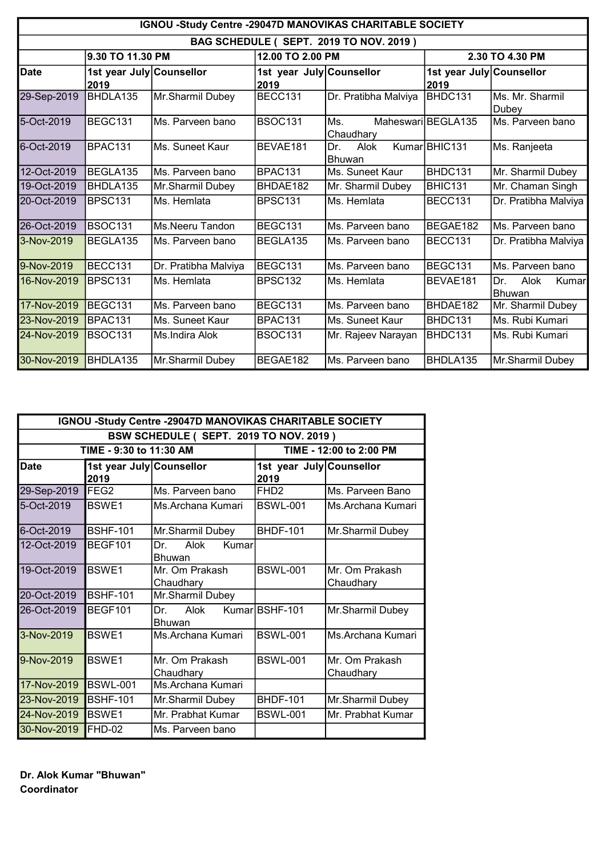| IGNOU -Study Centre -29047D MANOVIKAS CHARITABLE SOCIETY |                                  |                      |                                  |                              |                                  |                                       |  |
|----------------------------------------------------------|----------------------------------|----------------------|----------------------------------|------------------------------|----------------------------------|---------------------------------------|--|
| BAG SCHEDULE ( SEPT. 2019 TO NOV. 2019 )                 |                                  |                      |                                  |                              |                                  |                                       |  |
|                                                          | 9.30 TO 11.30 PM                 |                      |                                  | 12.00 TO 2.00 PM             |                                  | 2.30 TO 4.30 PM                       |  |
| <b>Date</b>                                              | 1st year July Counsellor<br>2019 |                      | 1st year July Counsellor<br>2019 |                              | 1st year July Counsellor<br>2019 |                                       |  |
| 29-Sep-2019                                              | BHDLA135                         | Mr.Sharmil Dubey     | BECC131                          | Dr. Pratibha Malviya         | BHDC131                          | Ms. Mr. Sharmil<br>Dubey              |  |
| 5-Oct-2019                                               | BEGC131                          | Ms. Parveen bano     | BSOC131                          | Ms.<br>Chaudhary             | Maheswari BEGLA135               | Ms. Parveen bano                      |  |
| 6-Oct-2019                                               | BPAC131                          | Ms. Suneet Kaur      | BEVAE181                         | Dr.<br>Alok<br><b>Bhuwan</b> | Kumar BHIC131                    | Ms. Ranjeeta                          |  |
| 12-Oct-2019                                              | BEGLA135                         | Ms. Parveen bano     | <b>BPAC131</b>                   | Ms. Suneet Kaur              | BHDC131                          | Mr. Sharmil Dubey                     |  |
| 19-Oct-2019                                              | BHDLA135                         | Mr.Sharmil Dubey     | BHDAE182                         | Mr. Sharmil Dubey            | BHIC131                          | Mr. Chaman Singh                      |  |
| 20-Oct-2019                                              | BPSC131                          | Ms. Hemlata          | <b>BPSC131</b>                   | Ms. Hemlata                  | BECC131                          | Dr. Pratibha Malviya                  |  |
| 26-Oct-2019                                              | <b>BSOC131</b>                   | Ms.Neeru Tandon      | BEGC131                          | Ms. Parveen bano             | BEGAE182                         | IMs. Parveen bano                     |  |
| 3-Nov-2019                                               | BEGLA135                         | Ms. Parveen bano     | BEGLA135                         | Ms. Parveen bano             | BECC131                          | Dr. Pratibha Malviya                  |  |
| 9-Nov-2019                                               | BECC131                          | Dr. Pratibha Malviya | BEGC131                          | Ms. Parveen bano             | BEGC131                          | Ms. Parveen bano                      |  |
| 16-Nov-2019                                              | <b>BPSC131</b>                   | Ms. Hemlata          | BPSC <sub>132</sub>              | Ms. Hemlata                  | BEVAE181                         | Alok<br>Dr.<br>Kumar<br><b>Bhuwan</b> |  |
| 17-Nov-2019                                              | BEGC131                          | Ms. Parveen bano     | BEGC131                          | Ms. Parveen bano             | BHDAE182                         | Mr. Sharmil Dubey                     |  |
| 23-Nov-2019                                              | BPAC131                          | Ms. Suneet Kaur      | BPAC131                          | Ms. Suneet Kaur              | BHDC131                          | Ms. Rubi Kumari                       |  |
| 24-Nov-2019                                              | <b>BSOC131</b>                   | Ms.Indira Alok       | <b>BSOC131</b>                   | Mr. Rajeev Narayan           | BHDC131                          | Ms. Rubi Kumari                       |  |
| 30-Nov-2019                                              | BHDLA135                         | Mr.Sharmil Dubey     | BEGAE182                         | Ms. Parveen bano             | BHDLA135                         | Mr.Sharmil Dubey                      |  |

|                                          | IGNOU -Study Centre -29047D MANOVIKAS CHARITABLE SOCIETY |                                       |                                  |                             |  |  |
|------------------------------------------|----------------------------------------------------------|---------------------------------------|----------------------------------|-----------------------------|--|--|
| BSW SCHEDULE ( SEPT. 2019 TO NOV. 2019 ) |                                                          |                                       |                                  |                             |  |  |
|                                          | TIME - 9:30 to 11:30 AM<br>TIME - 12:00 to 2:00 PM       |                                       |                                  |                             |  |  |
| <b>Date</b>                              | 1st year July Counsellor<br>2019                         |                                       | 1st year July Counsellor<br>2019 |                             |  |  |
| 29-Sep-2019                              | <b>IFEG2</b>                                             | Ms. Parveen bano                      | FH <sub>D2</sub>                 | Ms. Parveen Bano            |  |  |
| 5-Oct-2019                               | <b>BSWE1</b>                                             | Ms.Archana Kumari                     | <b>BSWL-001</b>                  | Ms.Archana Kumari           |  |  |
| 6-Oct-2019                               | <b>BSHF-101</b>                                          | Mr.Sharmil Dubey                      | <b>BHDF-101</b>                  | Mr.Sharmil Dubey            |  |  |
| 12-Oct-2019                              | BEGF101                                                  | Dr.<br>Alok<br>Kumar<br><b>Bhuwan</b> |                                  |                             |  |  |
| 19-Oct-2019                              | <b>BSWE1</b>                                             | Mr. Om Prakash<br>Chaudhary           | <b>BSWL-001</b>                  | Mr. Om Prakash<br>Chaudhary |  |  |
| 20-Oct-2019                              | BSHF-101                                                 | Mr.Sharmil Dubey                      |                                  |                             |  |  |
| 26-Oct-2019                              | BEGF101                                                  | Dr.<br>Alok<br><b>Bhuwan</b>          | Kumar BSHF-101                   | Mr.Sharmil Dubey            |  |  |
| 3-Nov-2019                               | <b>BSWE1</b>                                             | Ms Archana Kumari                     | <b>BSWL-001</b>                  | Ms.Archana Kumari           |  |  |
| 9-Nov-2019                               | <b>BSWE1</b>                                             | Mr. Om Prakash<br>Chaudhary           | <b>BSWL-001</b>                  | Mr. Om Prakash<br>Chaudhary |  |  |
| 17-Nov-2019                              | BSWL-001                                                 | Ms.Archana Kumari                     |                                  |                             |  |  |
| 23-Nov-2019                              | <b>BSHF-101</b>                                          | Mr.Sharmil Dubey                      | <b>BHDF-101</b>                  | Mr.Sharmil Dubey            |  |  |
| 24-Nov-2019                              | <b>BSWE1</b>                                             | Mr. Prabhat Kumar                     | <b>BSWL-001</b>                  | Mr. Prabhat Kumar           |  |  |
| 30-Nov-2019                              | FHD-02                                                   | lMs. Parveen bano                     |                                  |                             |  |  |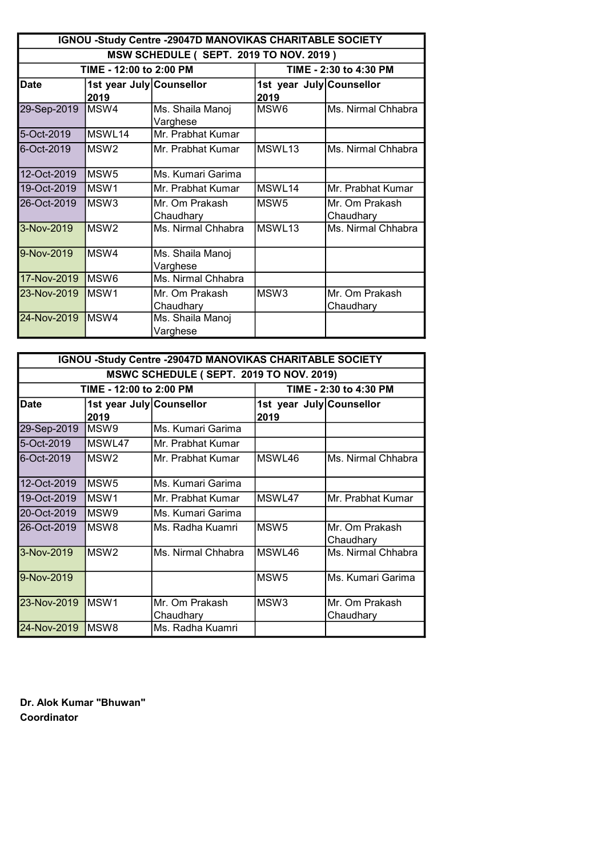| IGNOU -Study Centre -29047D MANOVIKAS CHARITABLE SOCIETY |                                  |                              |                                  |                             |  |
|----------------------------------------------------------|----------------------------------|------------------------------|----------------------------------|-----------------------------|--|
| MSW SCHEDULE (SEPT. 2019 TO NOV. 2019)                   |                                  |                              |                                  |                             |  |
|                                                          | TIME - 12:00 to 2:00 PM          | TIME - 2:30 to 4:30 PM       |                                  |                             |  |
| <b>Date</b>                                              | 1st year July Counsellor<br>2019 |                              | 1st year July Counsellor<br>2019 |                             |  |
| 29-Sep-2019                                              | MSW4                             | Ms. Shaila Manoj<br>Varghese | MSW <sub>6</sub>                 | Ms. Nirmal Chhabra          |  |
| 5-Oct-2019                                               | MSWL14                           | Mr. Prabhat Kumar            |                                  |                             |  |
| $6 - Oct-2019$                                           | MSW <sub>2</sub>                 | Mr. Prabhat Kumar            | MSWL <sub>13</sub>               | Ms. Nirmal Chhabra          |  |
| 12-Oct-2019                                              | MSW <sub>5</sub>                 | Ms. Kumari Garima            |                                  |                             |  |
| 19-Oct-2019                                              | MSW <sub>1</sub>                 | Mr. Prabhat Kumar            | <b>MSWI 14</b>                   | Mr. Prabhat Kumar           |  |
| 26-Oct-2019                                              | MSW <sub>3</sub>                 | Mr. Om Prakash<br>Chaudhary  | MSW <sub>5</sub>                 | Mr. Om Prakash<br>Chaudhary |  |
| 3-Nov-2019                                               | MSW <sub>2</sub>                 | Ms. Nirmal Chhabra           | MSWL <sub>13</sub>               | Ms. Nirmal Chhabra          |  |
| 9-Nov-2019                                               | MSW4                             | Ms. Shaila Manoj<br>Varghese |                                  |                             |  |
| 17-Nov-2019                                              | MSW <sub>6</sub>                 | Ms. Nirmal Chhabra           |                                  |                             |  |
| 23-Nov-2019                                              | MSW <sub>1</sub>                 | Mr. Om Prakash<br>Chaudhary  | MSW <sub>3</sub>                 | Mr. Om Prakash<br>Chaudhary |  |
| 24-Nov-2019                                              | MSW4                             | Ms. Shaila Manoj<br>Varghese |                                  |                             |  |

| IGNOU -Study Centre -29047D MANOVIKAS CHARITABLE SOCIETY |                                                   |                             |                                  |                             |  |  |  |
|----------------------------------------------------------|---------------------------------------------------|-----------------------------|----------------------------------|-----------------------------|--|--|--|
|                                                          | MSWC SCHEDULE (SEPT. 2019 TO NOV. 2019)           |                             |                                  |                             |  |  |  |
|                                                          | TIME - 12:00 to 2:00 PM<br>TIME - 2:30 to 4:30 PM |                             |                                  |                             |  |  |  |
| Date                                                     | 1st year July Counsellor<br>2019                  |                             | 1st year July Counsellor<br>2019 |                             |  |  |  |
| 29-Sep-2019                                              | MSW <sub>9</sub>                                  | Ms. Kumari Garima           |                                  |                             |  |  |  |
| 5-Oct-2019                                               | MSWL47                                            | IMr. Prabhat Kumar          |                                  |                             |  |  |  |
| 6-Oct-2019                                               | MSW <sub>2</sub>                                  | Mr. Prabhat Kumar           | MSWL46                           | Ms. Nirmal Chhabra          |  |  |  |
| 12-Oct-2019                                              | MSW <sub>5</sub>                                  | Ms. Kumari Garima           |                                  |                             |  |  |  |
| 19-Oct-2019                                              | MSW <sub>1</sub>                                  | IMr. Prabhat Kumar          | MSWL47                           | Mr. Prabhat Kumar           |  |  |  |
| 20-Oct-2019                                              | MSW <sub>9</sub>                                  | Ms. Kumari Garima           |                                  |                             |  |  |  |
| 26-Oct-2019                                              | MSW <sub>8</sub>                                  | lMs. Radha Kuamri           | MSW <sub>5</sub>                 | Mr. Om Prakash<br>Chaudhary |  |  |  |
| 3-Nov-2019                                               | MSW <sub>2</sub>                                  | Ms. Nirmal Chhabra          | MSWL46                           | Ms. Nirmal Chhabra          |  |  |  |
| 9-Nov-2019                                               |                                                   |                             | MSW <sub>5</sub>                 | Ms. Kumari Garima           |  |  |  |
| 23-Nov-2019                                              | MSW <sub>1</sub>                                  | Mr. Om Prakash<br>Chaudhary | MSW <sub>3</sub>                 | Mr. Om Prakash<br>Chaudhary |  |  |  |
| 24-Nov-2019                                              | IMSW8                                             | Ms. Radha Kuamri            |                                  |                             |  |  |  |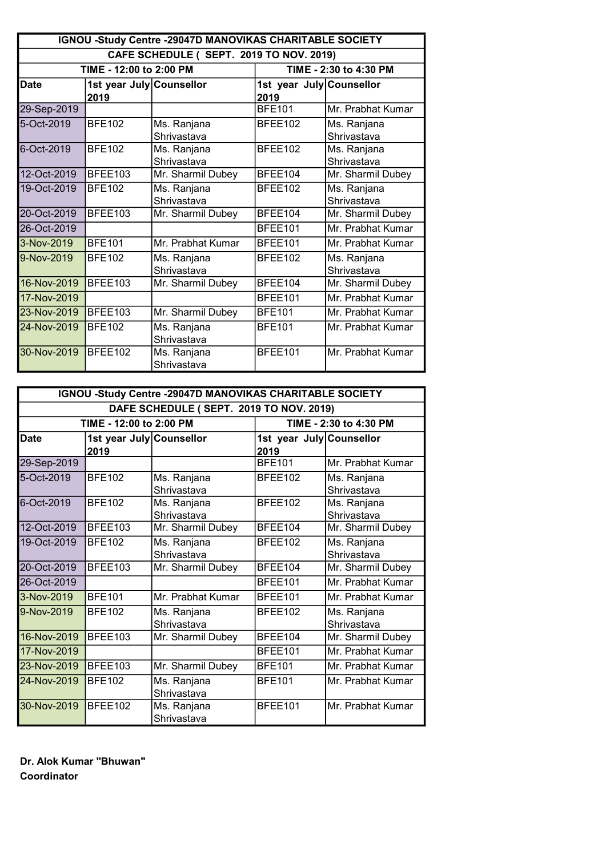| IGNOU -Study Centre -29047D MANOVIKAS CHARITABLE SOCIETY |                                                   |                            |                                  |                            |  |  |
|----------------------------------------------------------|---------------------------------------------------|----------------------------|----------------------------------|----------------------------|--|--|
| CAFE SCHEDULE (SEPT. 2019 TO NOV. 2019)                  |                                                   |                            |                                  |                            |  |  |
|                                                          | TIME - 12:00 to 2:00 PM<br>TIME - 2:30 to 4:30 PM |                            |                                  |                            |  |  |
| <b>Date</b>                                              | 1st year July Counsellor<br>2019                  |                            | 1st year July Counsellor<br>2019 |                            |  |  |
| 29-Sep-2019                                              |                                                   |                            | <b>BFE101</b>                    | Mr. Prabhat Kumar          |  |  |
| 5-Oct-2019                                               | <b>BFE102</b>                                     | Ms. Ranjana<br>Shrivastava | BFEE102                          | Ms. Ranjana<br>Shrivastava |  |  |
| 6-Oct-2019                                               | <b>BFE102</b>                                     | Ms. Ranjana<br>Shrivastava | BFEE102                          | Ms. Ranjana<br>Shrivastava |  |  |
| 12-Oct-2019                                              | BFEE103                                           | Mr. Sharmil Dubey          | BFEE104                          | Mr. Sharmil Dubey          |  |  |
| 19-Oct-2019                                              | <b>BFE102</b>                                     | Ms. Ranjana<br>Shrivastava | BFEE102                          | Ms. Ranjana<br>Shrivastava |  |  |
| 20-Oct-2019                                              | BFEE103                                           | Mr. Sharmil Dubey          | BFEE104                          | Mr. Sharmil Dubey          |  |  |
| 26-Oct-2019                                              |                                                   |                            | <b>BFEE101</b>                   | Mr. Prabhat Kumar          |  |  |
| 3-Nov-2019                                               | <b>BFE101</b>                                     | Mr. Prabhat Kumar          | BFEE101                          | Mr. Prabhat Kumar          |  |  |
| 9-Nov-2019                                               | <b>BFE102</b>                                     | Ms. Ranjana<br>Shrivastava | BFEE102                          | Ms. Ranjana<br>Shrivastava |  |  |
| 16-Nov-2019                                              | BFEE103                                           | Mr. Sharmil Dubey          | BFEE104                          | Mr. Sharmil Dubey          |  |  |
| 17-Nov-2019                                              |                                                   |                            | BFEE101                          | Mr. Prabhat Kumar          |  |  |
| 23-Nov-2019                                              | BFEE103                                           | Mr. Sharmil Dubey          | <b>BFE101</b>                    | Mr. Prabhat Kumar          |  |  |
| 24-Nov-2019                                              | <b>BFE102</b>                                     | Ms. Ranjana<br>Shrivastava | <b>BFE101</b>                    | Mr. Prabhat Kumar          |  |  |
| 30-Nov-2019                                              | BFEE102                                           | Ms. Ranjana<br>Shrivastava | BFEE101                          | Mr. Prabhat Kumar          |  |  |

| IGNOU -Study Centre -29047D MANOVIKAS CHARITABLE SOCIETY |                                                   |                            |                                  |                            |  |
|----------------------------------------------------------|---------------------------------------------------|----------------------------|----------------------------------|----------------------------|--|
| DAFE SCHEDULE (SEPT. 2019 TO NOV. 2019)                  |                                                   |                            |                                  |                            |  |
|                                                          | TIME - 12:00 to 2:00 PM<br>TIME - 2:30 to 4:30 PM |                            |                                  |                            |  |
| <b>Date</b>                                              | 1st year July Counsellor<br>2019                  |                            | 1st year July Counsellor<br>2019 |                            |  |
| 29-Sep-2019                                              |                                                   |                            | <b>BFE101</b>                    | Mr. Prabhat Kumar          |  |
| 5-Oct-2019                                               | <b>BFE102</b>                                     | Ms. Ranjana<br>Shrivastava | BFEE102                          | Ms. Ranjana<br>Shrivastava |  |
| 6-Oct-2019                                               | <b>BFE102</b>                                     | Ms. Ranjana<br>Shrivastava | BFEE102                          | Ms. Ranjana<br>Shrivastava |  |
| 12-Oct-2019                                              | BFEE103                                           | Mr. Sharmil Dubey          | BFEE104                          | Mr. Sharmil Dubey          |  |
| 19-Oct-2019                                              | <b>BFE102</b>                                     | Ms. Ranjana<br>Shrivastava | BFEE102                          | Ms. Ranjana<br>Shrivastava |  |
| 20-Oct-2019                                              | BFEE103                                           | Mr. Sharmil Dubey          | BFEE104                          | Mr. Sharmil Dubey          |  |
| 26-Oct-2019                                              |                                                   |                            | <b>BFEE101</b>                   | Mr. Prabhat Kumar          |  |
| 3-Nov-2019                                               | <b>BFE101</b>                                     | Mr. Prabhat Kumar          | BFEE101                          | Mr. Prabhat Kumar          |  |
| 9-Nov-2019                                               | <b>BFE102</b>                                     | Ms. Ranjana<br>Shrivastava | BFEE102                          | Ms. Ranjana<br>Shrivastava |  |
| 16-Nov-2019                                              | BFEE103                                           | Mr. Sharmil Dubey          | BFEE104                          | Mr. Sharmil Dubey          |  |
| 17-Nov-2019                                              |                                                   |                            | BFEE101                          | Mr. Prabhat Kumar          |  |
| 23-Nov-2019                                              | BFEE103                                           | Mr. Sharmil Dubey          | <b>BFE101</b>                    | Mr. Prabhat Kumar          |  |
| 24-Nov-2019                                              | <b>BFE102</b>                                     | Ms. Ranjana<br>Shrivastava | <b>BFE101</b>                    | Mr. Prabhat Kumar          |  |
| 30-Nov-2019                                              | BFEE102                                           | Ms. Ranjana<br>Shrivastava | BFEE101                          | Mr. Prabhat Kumar          |  |